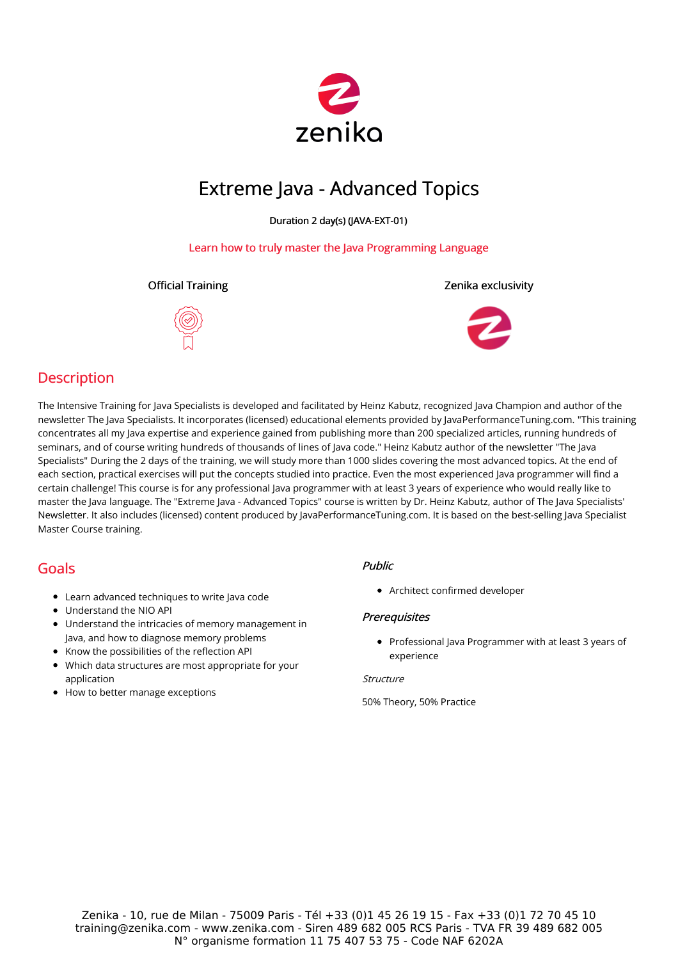

# Extreme Java - Advanced Topics

Duration 2 day(s) (JAVA-EXT-01)

### Learn how to truly master the Java Programming Language





### **Description**

The Intensive Training for Java Specialists is developed and facilitated by Heinz Kabutz, recognized Java Champion and author of the newsletter The Java Specialists. It incorporates (licensed) educational elements provided by JavaPerformanceTuning.com. "This training concentrates all my Java expertise and experience gained from publishing more than 200 specialized articles, running hundreds of seminars, and of course writing hundreds of thousands of lines of Java code." Heinz Kabutz author of the newsletter "The Java Specialists" During the 2 days of the training, we will study more than 1000 slides covering the most advanced topics. At the end of each section, practical exercises will put the concepts studied into practice. Even the most experienced Java programmer will find a certain challenge! This course is for any professional Java programmer with at least 3 years of experience who would really like to master the Java language. The "Extreme Java - Advanced Topics" course is written by Dr. Heinz Kabutz, author of The Java Specialists' Newsletter. It also includes (licensed) content produced by JavaPerformanceTuning.com. It is based on the best-selling Java Specialist Master Course training.

### Goals

- Learn advanced techniques to write Java code
- Understand the NIO API
- Understand the intricacies of memory management in Java, and how to diagnose memory problems
- Know the possibilities of the reflection API
- Which data structures are most appropriate for your application
- How to better manage exceptions

### Public

Architect confirmed developer

### **Prerequisites**

• Professional Java Programmer with at least 3 years of experience

#### **Structure**

50% Theory, 50% Practice